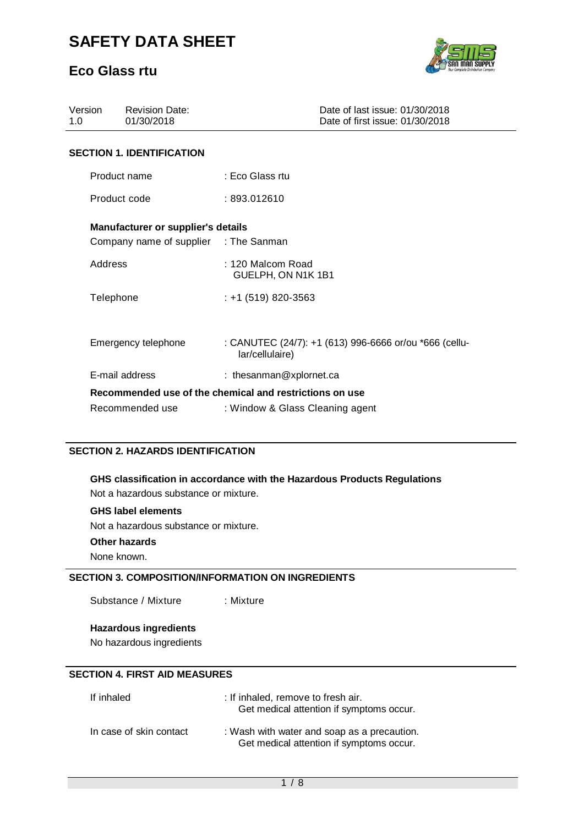### **Eco Glass rtu**



| Version<br>1.0 | <b>Revision Date:</b><br>01/30/2018                                         | Date of last issue: 01/30/2018<br>Date of first issue: 01/30/2018         |  |
|----------------|-----------------------------------------------------------------------------|---------------------------------------------------------------------------|--|
|                | <b>SECTION 1. IDENTIFICATION</b>                                            |                                                                           |  |
|                | Product name                                                                | : Eco Glass rtu                                                           |  |
| Product code   |                                                                             | :893.012610                                                               |  |
|                | Manufacturer or supplier's details<br>Company name of supplier : The Sanman |                                                                           |  |
| Address        |                                                                             | : 120 Malcom Road<br>GUELPH, ON N1K 1B1                                   |  |
| Telephone      |                                                                             | $: +1(519)820-3563$                                                       |  |
|                |                                                                             |                                                                           |  |
|                | Emergency telephone                                                         | : CANUTEC (24/7): +1 (613) 996-6666 or/ou *666 (cellu-<br>lar/cellulaire) |  |
|                | E-mail address                                                              | : thesanman@xplornet.ca                                                   |  |
|                |                                                                             | Recommended use of the chemical and restrictions on use                   |  |
|                | Recommended use                                                             | : Window & Glass Cleaning agent                                           |  |

### **SECTION 2. HAZARDS IDENTIFICATION**

**GHS classification in accordance with the Hazardous Products Regulations**  Not a hazardous substance or mixture.

#### **GHS label elements**

Not a hazardous substance or mixture.

### **Other hazards**

None known.

### **SECTION 3. COMPOSITION/INFORMATION ON INGREDIENTS**

Substance / Mixture : Mixture

**Hazardous ingredients** 

No hazardous ingredients

#### **SECTION 4. FIRST AID MEASURES**

| If inhaled              | : If inhaled, remove to fresh air.<br>Get medical attention if symptoms occur.          |
|-------------------------|-----------------------------------------------------------------------------------------|
| In case of skin contact | : Wash with water and soap as a precaution.<br>Get medical attention if symptoms occur. |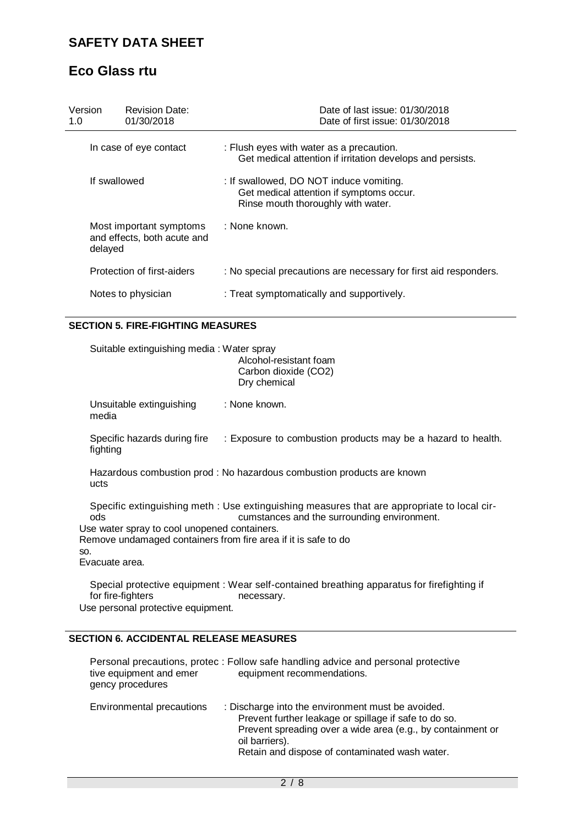# **Eco Glass rtu**

| Version<br>1.0 | Revision Date:<br>01/30/2018                           | Date of last issue: 01/30/2018<br>Date of first issue: 01/30/2018                                                         |
|----------------|--------------------------------------------------------|---------------------------------------------------------------------------------------------------------------------------|
|                | In case of eye contact                                 | : Flush eyes with water as a precaution.<br>Get medical attention if irritation develops and persists.                    |
|                | If swallowed                                           | : If swallowed, DO NOT induce vomiting.<br>Get medical attention if symptoms occur.<br>Rinse mouth thoroughly with water. |
| delayed        | Most important symptoms<br>and effects, both acute and | : None known.                                                                                                             |
|                | Protection of first-aiders                             | : No special precautions are necessary for first aid responders.                                                          |
|                | Notes to physician                                     | : Treat symptomatically and supportively.                                                                                 |

#### **SECTION 5. FIRE-FIGHTING MEASURES**

Suitable extinguishing media : Water spray Alcohol-resistant foam Carbon dioxide (CO2) Dry chemical Unsuitable extinguishing : None known. media Specific hazards during fire : Exposure to combustion products may be a hazard to health. fighting Hazardous combustion prod : No hazardous combustion products are known ucts Specific extinguishing meth : Use extinguishing measures that are appropriate to local cirods cumstances and the surrounding environment. Use water spray to cool unopened containers. Remove undamaged containers from fire area if it is safe to do so. Evacuate area. Special protective equipment : Wear self-contained breathing apparatus for firefighting if for fire-fighters necessary. Use personal protective equipment.

### **SECTION 6. ACCIDENTAL RELEASE MEASURES**

| tive equipment and emer   | Personal precautions, protec : Follow safe handling advice and personal protective                                                                                                                                                            |
|---------------------------|-----------------------------------------------------------------------------------------------------------------------------------------------------------------------------------------------------------------------------------------------|
| gency procedures          | equipment recommendations.                                                                                                                                                                                                                    |
| Environmental precautions | : Discharge into the environment must be avoided.<br>Prevent further leakage or spillage if safe to do so.<br>Prevent spreading over a wide area (e.g., by containment or<br>oil barriers).<br>Retain and dispose of contaminated wash water. |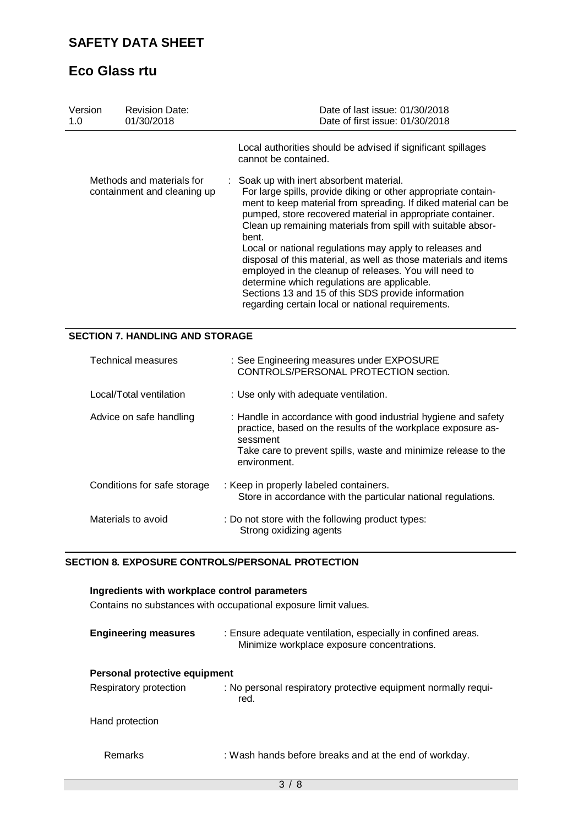# **Eco Glass rtu**

| Version<br>1.0 | <b>Revision Date:</b><br>01/30/2018                      | Date of last issue: 01/30/2018<br>Date of first issue: 01/30/2018                                                                                                                                                                                                                                                                                                                                                                                                                                                                                                                                                                                                    |
|----------------|----------------------------------------------------------|----------------------------------------------------------------------------------------------------------------------------------------------------------------------------------------------------------------------------------------------------------------------------------------------------------------------------------------------------------------------------------------------------------------------------------------------------------------------------------------------------------------------------------------------------------------------------------------------------------------------------------------------------------------------|
|                |                                                          | Local authorities should be advised if significant spillages<br>cannot be contained.                                                                                                                                                                                                                                                                                                                                                                                                                                                                                                                                                                                 |
|                | Methods and materials for<br>containment and cleaning up | : Soak up with inert absorbent material.<br>For large spills, provide diking or other appropriate contain-<br>ment to keep material from spreading. If diked material can be<br>pumped, store recovered material in appropriate container.<br>Clean up remaining materials from spill with suitable absor-<br>bent.<br>Local or national regulations may apply to releases and<br>disposal of this material, as well as those materials and items<br>employed in the cleanup of releases. You will need to<br>determine which regulations are applicable.<br>Sections 13 and 15 of this SDS provide information<br>regarding certain local or national requirements. |

### **SECTION 7. HANDLING AND STORAGE**

| <b>Technical measures</b>   | : See Engineering measures under EXPOSURE<br>CONTROLS/PERSONAL PROTECTION section.                                                                                                                                           |
|-----------------------------|------------------------------------------------------------------------------------------------------------------------------------------------------------------------------------------------------------------------------|
| Local/Total ventilation     | : Use only with adequate ventilation.                                                                                                                                                                                        |
| Advice on safe handling     | : Handle in accordance with good industrial hygiene and safety<br>practice, based on the results of the workplace exposure as-<br>sessment<br>Take care to prevent spills, waste and minimize release to the<br>environment. |
| Conditions for safe storage | : Keep in properly labeled containers.<br>Store in accordance with the particular national regulations.                                                                                                                      |
| Materials to avoid          | : Do not store with the following product types:<br>Strong oxidizing agents                                                                                                                                                  |

#### **SECTION 8. EXPOSURE CONTROLS/PERSONAL PROTECTION**

# **Ingredients with workplace control parameters**

Contains no substances with occupational exposure limit values.

| <b>Engineering measures</b> | : Ensure adequate ventilation, especially in confined areas.<br>Minimize workplace exposure concentrations. |  |  |  |
|-----------------------------|-------------------------------------------------------------------------------------------------------------|--|--|--|
|                             | Personal protective equipment                                                                               |  |  |  |
| Respiratory protection      | : No personal respiratory protective equipment normally requi-<br>red.                                      |  |  |  |
| Hand protection             |                                                                                                             |  |  |  |
| Remarks                     | : Wash hands before breaks and at the end of workday.                                                       |  |  |  |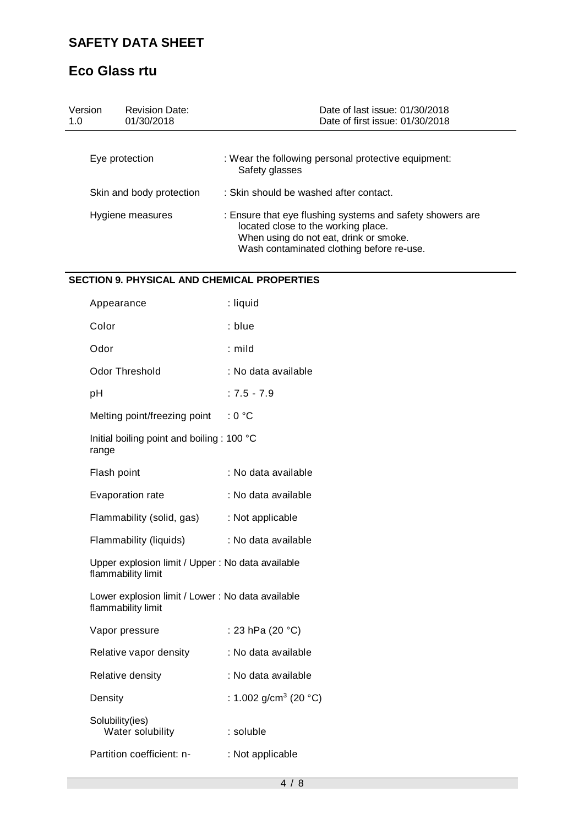# **Eco Glass rtu**

| Version<br>1.0           | <b>Revision Date:</b><br>01/30/2018 | Date of last issue: 01/30/2018<br>Date of first issue: 01/30/2018                                                                                                                       |  |
|--------------------------|-------------------------------------|-----------------------------------------------------------------------------------------------------------------------------------------------------------------------------------------|--|
|                          | Eye protection                      | : Wear the following personal protective equipment:<br>Safety glasses                                                                                                                   |  |
| Skin and body protection |                                     | : Skin should be washed after contact.                                                                                                                                                  |  |
| Hygiene measures         |                                     | : Ensure that eye flushing systems and safety showers are<br>located close to the working place.<br>When using do not eat, drink or smoke.<br>Wash contaminated clothing before re-use. |  |

### **SECTION 9. PHYSICAL AND CHEMICAL PROPERTIES**

| Appearance                                                              | : liquid                          |  |
|-------------------------------------------------------------------------|-----------------------------------|--|
| Color                                                                   | : blue                            |  |
| Odor                                                                    | $:$ mild                          |  |
| <b>Odor Threshold</b>                                                   | : No data available               |  |
| рH                                                                      | $: 7.5 - 7.9$                     |  |
| Melting point/freezing point                                            | : 0 °C                            |  |
| Initial boiling point and boiling: 100 °C<br>range                      |                                   |  |
| Flash point                                                             | : No data available               |  |
| Evaporation rate                                                        | : No data available               |  |
| Flammability (solid, gas)                                               | : Not applicable                  |  |
| Flammability (liquids)                                                  | : No data available               |  |
| Upper explosion limit / Upper : No data available<br>flammability limit |                                   |  |
| Lower explosion limit / Lower : No data available<br>flammability limit |                                   |  |
| Vapor pressure                                                          | : 23 hPa (20 °C)                  |  |
| Relative vapor density                                                  | : No data available               |  |
| Relative density                                                        | : No data available               |  |
| Density                                                                 | : 1.002 g/cm <sup>3</sup> (20 °C) |  |
| Solubility(ies)<br>Water solubility                                     | : soluble                         |  |
| Partition coefficient: n-                                               | : Not applicable                  |  |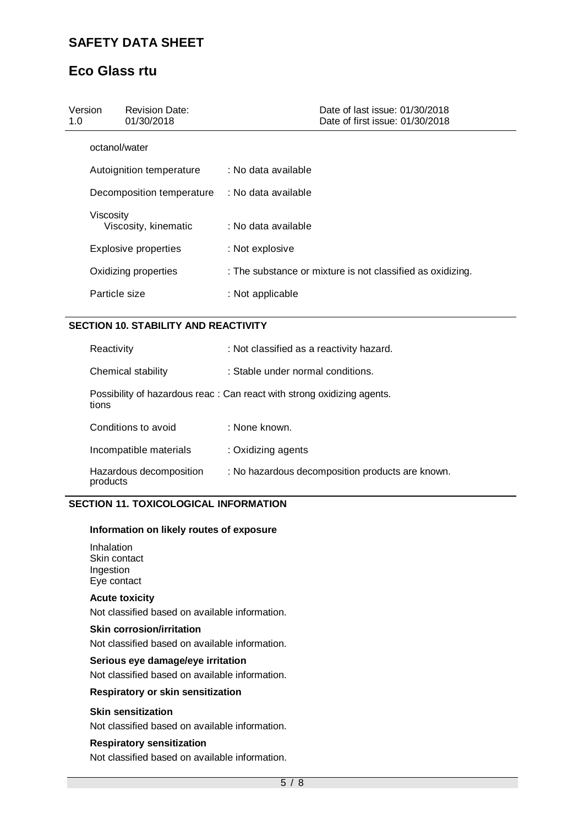# **Eco Glass rtu**

| Version<br>1.0 | <b>Revision Date:</b><br>01/30/2018 |                     | Date of last issue: 01/30/2018<br>Date of first issue: 01/30/2018 |
|----------------|-------------------------------------|---------------------|-------------------------------------------------------------------|
| octanol/water  |                                     |                     |                                                                   |
|                | Autoignition temperature            | : No data available |                                                                   |
|                | Decomposition temperature           | : No data available |                                                                   |
| Viscosity      | Viscosity, kinematic                | : No data available |                                                                   |
|                | Explosive properties                | : Not explosive     |                                                                   |
|                | Oxidizing properties                |                     | : The substance or mixture is not classified as oxidizing.        |
| Particle size  |                                     | : Not applicable    |                                                                   |

### **SECTION 10. STABILITY AND REACTIVITY**

| Reactivity                          | : Not classified as a reactivity hazard.                               |  |
|-------------------------------------|------------------------------------------------------------------------|--|
| Chemical stability                  | : Stable under normal conditions.                                      |  |
| tions                               | Possibility of hazardous reac: Can react with strong oxidizing agents. |  |
| Conditions to avoid                 | : None known.                                                          |  |
| Incompatible materials              | : Oxidizing agents                                                     |  |
| Hazardous decomposition<br>products | : No hazardous decomposition products are known.                       |  |

### **SECTION 11. TOXICOLOGICAL INFORMATION**

#### **Information on likely routes of exposure**

Inhalation Skin contact Ingestion Eye contact

### **Acute toxicity**

Not classified based on available information.

### **Skin corrosion/irritation**

Not classified based on available information.

#### **Serious eye damage/eye irritation**

Not classified based on available information.

#### **Respiratory or skin sensitization**

#### **Skin sensitization**

Not classified based on available information.

#### **Respiratory sensitization**

Not classified based on available information.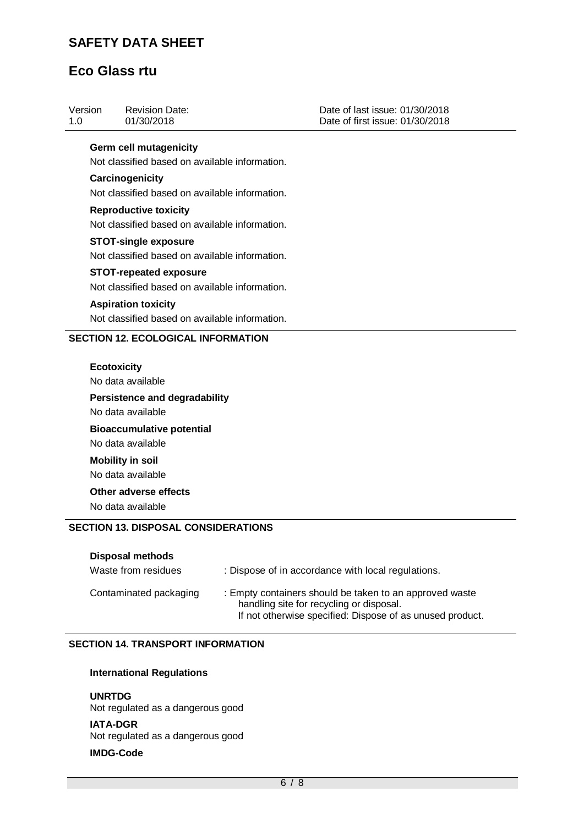# **Eco Glass rtu**

| Version<br>1.0 | <b>Revision Date:</b><br>01/30/2018                       | Date of last issue: 01/30/2018<br>Date of first issue: 01/30/2018 |
|----------------|-----------------------------------------------------------|-------------------------------------------------------------------|
|                | <b>Germ cell mutagenicity</b>                             |                                                                   |
|                | Not classified based on available information.            |                                                                   |
|                | Carcinogenicity                                           |                                                                   |
|                | Not classified based on available information.            |                                                                   |
|                | <b>Reproductive toxicity</b>                              |                                                                   |
|                | Not classified based on available information.            |                                                                   |
|                | <b>STOT-single exposure</b>                               |                                                                   |
|                | Not classified based on available information.            |                                                                   |
|                | <b>STOT-repeated exposure</b>                             |                                                                   |
|                | Not classified based on available information.            |                                                                   |
|                | <b>Aspiration toxicity</b>                                |                                                                   |
|                | Not classified based on available information.            |                                                                   |
|                | <b>SECTION 12. ECOLOGICAL INFORMATION</b>                 |                                                                   |
|                |                                                           |                                                                   |
|                | <b>Ecotoxicity</b><br>No data available                   |                                                                   |
|                |                                                           |                                                                   |
|                | <b>Persistence and degradability</b><br>No data available |                                                                   |
|                |                                                           |                                                                   |
|                | <b>Bioaccumulative potential</b><br>No data available     |                                                                   |
|                | <b>Mobility in soil</b>                                   |                                                                   |
|                | No data available                                         |                                                                   |
|                | Other adverse effects                                     |                                                                   |
|                | No data available                                         |                                                                   |
|                |                                                           |                                                                   |
|                | <b>SECTION 13. DISPOSAL CONSIDERATIONS</b>                |                                                                   |
|                | <b>Disposal methods</b>                                   |                                                                   |
|                | Waste from residues                                       | : Dispose of in accordance with local regulations.                |

| Contaminated packaging | : Empty containers should be taken to an approved waste<br>handling site for recycling or disposal.<br>If not otherwise specified: Dispose of as unused product. |
|------------------------|------------------------------------------------------------------------------------------------------------------------------------------------------------------|
|                        |                                                                                                                                                                  |
|                        |                                                                                                                                                                  |

### **SECTION 14. TRANSPORT INFORMATION**

### **International Regulations**

**UNRTDG** Not regulated as a dangerous good **IATA-DGR**

Not regulated as a dangerous good

#### **IMDG-Code**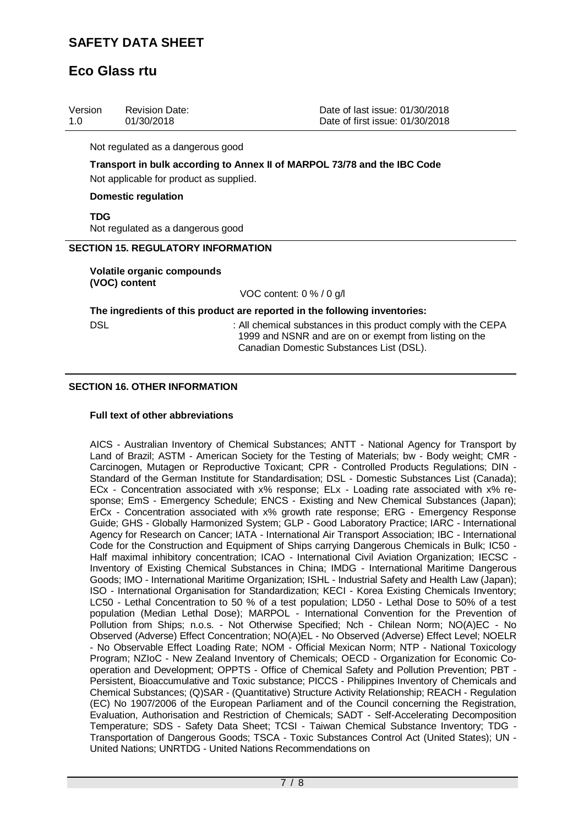# **Eco Glass rtu**

| Version | <b>Revision Date:</b> | Date of last issue: 01/30/2018  |
|---------|-----------------------|---------------------------------|
| -1.0    | 01/30/2018            | Date of first issue: 01/30/2018 |

Not regulated as a dangerous good

**Transport in bulk according to Annex II of MARPOL 73/78 and the IBC Code**  Not applicable for product as supplied.

#### **Domestic regulation**

**TDG**

Not regulated as a dangerous good

#### **SECTION 15. REGULATORY INFORMATION**

**Volatile organic compounds (VOC) content**

VOC content: 0 % / 0 g/l

**The ingredients of this product are reported in the following inventories:**

DSL **EXECUTE:** All chemical substances in this product comply with the CEPA 1999 and NSNR and are on or exempt from listing on the Canadian Domestic Substances List (DSL).

#### **SECTION 16. OTHER INFORMATION**

#### **Full text of other abbreviations**

AICS - Australian Inventory of Chemical Substances; ANTT - National Agency for Transport by Land of Brazil; ASTM - American Society for the Testing of Materials; bw - Body weight; CMR - Carcinogen, Mutagen or Reproductive Toxicant; CPR - Controlled Products Regulations; DIN - Standard of the German Institute for Standardisation; DSL - Domestic Substances List (Canada); ECx - Concentration associated with x% response; ELx - Loading rate associated with x% response; EmS - Emergency Schedule; ENCS - Existing and New Chemical Substances (Japan); ErCx - Concentration associated with x% growth rate response; ERG - Emergency Response Guide; GHS - Globally Harmonized System; GLP - Good Laboratory Practice; IARC - International Agency for Research on Cancer; IATA - International Air Transport Association; IBC - International Code for the Construction and Equipment of Ships carrying Dangerous Chemicals in Bulk; IC50 - Half maximal inhibitory concentration; ICAO - International Civil Aviation Organization; IECSC - Inventory of Existing Chemical Substances in China; IMDG - International Maritime Dangerous Goods; IMO - International Maritime Organization; ISHL - Industrial Safety and Health Law (Japan); ISO - International Organisation for Standardization; KECI - Korea Existing Chemicals Inventory; LC50 - Lethal Concentration to 50 % of a test population; LD50 - Lethal Dose to 50% of a test population (Median Lethal Dose); MARPOL - International Convention for the Prevention of Pollution from Ships; n.o.s. - Not Otherwise Specified; Nch - Chilean Norm; NO(A)EC - No Observed (Adverse) Effect Concentration; NO(A)EL - No Observed (Adverse) Effect Level; NOELR - No Observable Effect Loading Rate; NOM - Official Mexican Norm; NTP - National Toxicology Program; NZIoC - New Zealand Inventory of Chemicals; OECD - Organization for Economic Cooperation and Development; OPPTS - Office of Chemical Safety and Pollution Prevention; PBT - Persistent, Bioaccumulative and Toxic substance; PICCS - Philippines Inventory of Chemicals and Chemical Substances; (Q)SAR - (Quantitative) Structure Activity Relationship; REACH - Regulation (EC) No 1907/2006 of the European Parliament and of the Council concerning the Registration, Evaluation, Authorisation and Restriction of Chemicals; SADT - Self-Accelerating Decomposition Temperature; SDS - Safety Data Sheet; TCSI - Taiwan Chemical Substance Inventory; TDG - Transportation of Dangerous Goods; TSCA - Toxic Substances Control Act (United States); UN - United Nations; UNRTDG - United Nations Recommendations on